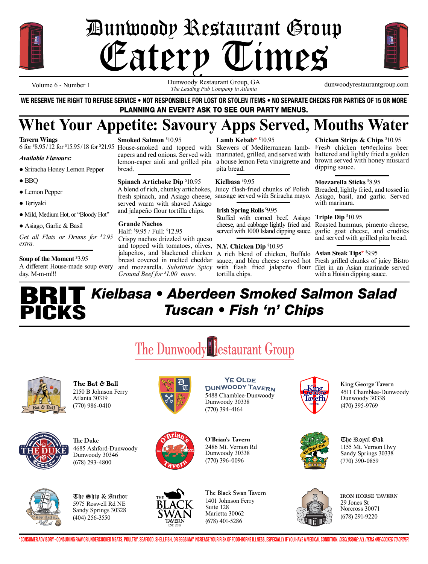

# Bunwoody Restaurant Group<br>Catery Times Eatery Times



Dunwoody Restaurant Group, GA dunwoodyrestaurantgroup.com Volume 6 - Number 1<br>*The Leading Pub Company in Atlanta The Leading Pub Company in Atlanta* 

**WE RESERVE THE RIGHT TO REFUSE SERVICE • NOT RESPONSIBLE FOR LOST OR STOLEN ITEMS • NO SEPARATE CHECKS FOR PARTIES OF 15 OR MORE** PLANNING AN EVENT? ASK TO SEE OUR PARTY MENUS.

## **Whet Your Appetite: Savoury Apps Served, Mouths Water**

**Tavern Wings**

### *Available Flavours:*

- Sriracha Honey Lemon Pepper
- BBQ
- Lemon Pepper
- Teriyaki
- Mild, Medium Hot, or "Bloody Hot"
- Asiago, Garlic & Basil

*Get all Flats or Drums for \$ 2.95 extra.*

### **Soup of the Moment** \$ 3.95

A different House-made soup every day. M-m-m!!!

**Smoked Salmon** \$ 10.95

## **Spinach Artichoke Dip** \$ 10.95

A blend of rich, chunky artichokes, fresh spinach, and Asiago cheese, served warm with shaved Asiago and jalapeño flour tortilla chips.

### **Grande Nachos**

bread.

Half: \$ 9.95 / Full: \$ 12.95 Crispy nachos drizzled with queso and topped with tomatoes, olives, **N.Y. Chicken Dip** \$ 10.95 *Ground Beef for \$ 1.00 more.*

**Lamb Kebab\*** \$ 10.95

6 for \$8.95/12 for \$15.95/18 for \$21.95 House-smoked and topped with Skewers of Mediterranean lamb- Fresh chicken tenderloins beer capers and red onions. Served with marinated, grilled, and served with battered and lightly fried a golden lemon-caper aioli and grilled pita a house lemon Feta vinaigrette and brown served with honey mustard pita bread.

### **Kielbasa** \$ 9.95

Juicy flash-fried chunks of Polish

### **Irish Spring Rolls** \$ 9.95

Stuffed with corned beef, Asiago **Triple Dip** \$ 10.95

jalapeños, and blackened chicken A rich blend of chicken, Buffalo **Asian Steak Tips\*** \$ 9.95 breast covered in melted cheddar sauce, and bleu cheese served hot Fresh grilled chunks of juicy Bistro tortilla chips.

**Chicken Strips & Chips** \$ 10.95 dipping sauce.

### **Mozzarella Sticks** \$ 8.95

sausage served with Sriracha mayo. Asiago, basil, and garlic. Served Breaded, lightly fried, and tossed in with marinara.

cheese, and cabbage lightly fried and Roasted hummus, pimento cheese, served with 1000 Island dipping sauce. garlic goat cheese, and crudités and served with grilled pita bread.

and mozzarella. *Substitute Spicy*  with flash fried jalapeño flour filet in an Asian marinade served with a Hoisin dipping sauce.

## **BRIT** PICKS *Kielbasa • Aberdeen Smoked Salmon Salad Tuscan • Fish 'n' Chips*

The Dunwoody Restaurant Group



2150 B Johnson Ferry Atlanta 30319 (770) 986-0410 The Bat & Ball



4685 Ashford-Dunwoody Dunwoody 30346 (678) 293-4800 **e Duke**



5975 Roswell Rd NE Sandy Springs 30328 (404) 256-3550 The Ship & Anchor



**YE OLDE DUNWOODY TAVERN** 5488 Chamblee-Dunwoody Dunwoody 30338 (770) 394-4164





1401 Johnson Ferry (678) 401-5286



4511 Chamblee-Dunwoody Dunwoody 30338 (470) 395-9769 **King George Tavern**



1155 Mt. Vernon Hwy Sandy Springs 30338 (770) 390-0859 The Royal Oak



**IRON HORSE TAVERN** 29 Jones St Norcross 30071 (678) 291-9220

\*CONSUMER ADVISORY - CONSUMING RAW OR UNDERCOOKED MEATS, POULTRY, SEAFOOD, SHELLFISH, OR EGGS MAY INCREASE YOUR RISK OF FOOD-BORNE ILLNESS, ESPECIALLY IF YOU HAVE A MEDICAL CONDITION. *Disclosure: All items are cooked to o*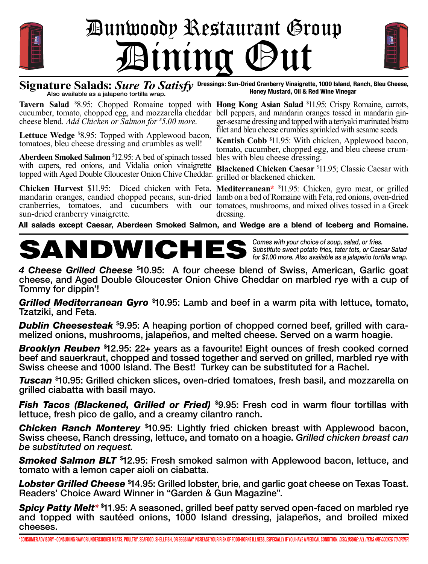

# Dunwoody Restaurant Group Bining (



Signature Salads: *Sure To Satisfy* Dressings: Sun-Dried Cranberry Vinaigrette, 1000 Island, Ranch, Bleu Cheese,<br>Also available as a jalapeño tortilla wrap. **Honey Mustard, Oil & Red Wine Vinegar Honey Mustard, Oil & Red Wine Vinegar**

Tavern Salad <sup>\$8</sup>.95: Chopped Romaine topped with Hong Kong Asian Salad <sup>\$11.95: Crispy Romaine, carrots,</sup> cucumber, tomato, chopped egg, and mozzarella cheddar bell peppers, and mandarin oranges tossed in mandarin gincheese blend. *Add Chicken or Salmon for \$ 5.00 more*.

**Lettuce Wedge** \$ 8.95: Topped with Applewood bacon, tomatoes, bleu cheese dressing and crumbles as well!

**Aberdeen Smoked Salmon** \$ 12.95: A bed of spinach tossed with capers, red onions, and Vidalia onion vinaigrette topped with Aged Double Gloucester Onion Chive Cheddar.

**Chicken Harvest** \$11.95: Diced chicken with Feta, **Mediterranean\*** \$ 11.95: Chicken, gyro meat, or grilled mandarin oranges, candied chopped pecans, sun-dried lamb on a bed of Romaine with Feta, red onions, oven-dried cranberries, tomatoes, and cucumbers with our tomatoes, mushrooms, and mixed olives tossed in a Greek sun-dried cranberry vinaigrette.

ger-sesame dressing and topped with a teriyaki marinated bistro filet and bleu cheese crumbles sprinkled with sesame seeds.

**Kentish Cobb** \$ 11.95: With chicken, Applewood bacon, tomato, cucumber, chopped egg, and bleu cheese crum-

**Blackened Chicken Caesar** \$ 11.95; Classic Caesar with grilled or blackened chicken.

dressing.

**All salads except Caesar, Aberdeen Smoked Salmon, and Wedge are a blend of Iceberg and Romaine.**

## **SANDWICHES** *Substitute sweet potato fries, tater tots, or Caesar Salad for \$1.00 more. Also available as a jalapeño tortilla wrap.*

*Comes with your choice of soup, salad, or fries.*

*4 Cheese Grilled Cheese* \$ 10.95: A four cheese blend of Swiss, American, Garlic goat cheese, and Aged Double Gloucester Onion Chive Cheddar on marbled rye with a cup of Tommy for dippin'!

*Grilled Mediterranean Gyro* \$ 10.95: Lamb and beef in a warm pita with lettuce, tomato, Tzatziki, and Feta.

*Dublin Cheesesteak* **\$9.95:** A heaping portion of chopped corned beef, grilled with cara-<br>melized onions, mushrooms, jalapeños, and melted cheese. Served on a warm hoagie.

*Brooklyn Reuben* \$ 12.95: 22+ years as a favourite! Eight ounces of fresh cooked corned beef and sauerkraut, chopped and tossed together and served on grilled, marbled rye with Swiss cheese and 1000 Island. The Best! Turkey can be substituted for a Rachel.

*Tuscan* \$ 10.95: Grilled chicken slices, oven-dried tomatoes, fresh basil, and mozzarella on grilled ciabatta with basil mayo.

*Fish Tacos (Blackened, Grilled or Fried)* \$ 9.95: Fresh cod in warm flour tortillas with lettuce, fresh pico de gallo, and a creamy cilantro ranch.

*Chicken Ranch Monterey* \$ 10.95: Lightly fried chicken breast with Applewood bacon, Swiss cheese, Ranch dressing, lettuce, and tomato on a hoagie. *Grilled chicken breast can be substituted on request.*

*Smoked Salmon BLT* \$ 12.95: Fresh smoked salmon with Applewood bacon, lettuce, and tomato with a lemon caper aioli on ciabatta.

*Lobster Grilled Cheese* \$ 14.95: Grilled lobster, brie, and garlic goat cheese on Texas Toast. Readers' Choice Award Winner in "Garden & Gun Magazine".

*Spicy Patty Melt\** \$ 11.95: A seasoned, grilled beef patty served open-faced on marbled rye and topped with sautéed onions, 1000 Island dressing, jalapeños, and broiled mixed cheeses.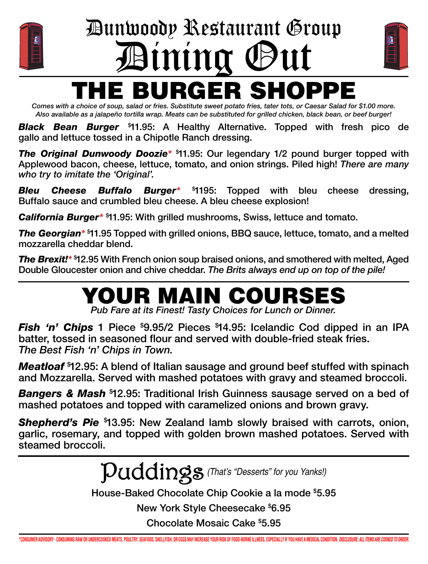

## E BURGER SHOPPE Dunwoody Restaurant Group Dining Out



*Comes with a choice of soup, salad or fries. Substitute sweet potato fries, tater tots, or Caesar Salad for \$1.00 more. Also available as a jalapeño tortilla wrap. Meats can be substituted for grilled chicken, black bean, or beef burger!*

*Black Bean Burger* \$ 11.95: A Healthy Alternative. Topped with fresh pico de gallo and lettuce tossed in a Chipotle Ranch dressing.

*The Original Dunwoody Doozie\** \$ 11.95: Our legendary 1/2 pound burger topped with Applewood bacon, cheese, lettuce, tomato, and onion strings. Piled high! *There are many who try to imitate the 'Original'.*

**Bleu Cheese Buffalo Burger\*** \$1195: Topped with bleu cheese dressing, Buffalo sauce and crumbled bleu cheese. A bleu cheese explosion!

*California Burger\** \$ 11.95: With grilled mushrooms, Swiss, lettuce and tomato.

*The Georgian\** \$ 11.95 Topped with grilled onions, BBQ sauce, lettuce, tomato, and a melted mozzarella cheddar blend.

*The Brexit!\** \$ 12.95 With French onion soup braised onions, and smothered with melted, Aged Double Gloucester onion and chive cheddar. *The Brits always end up on top of the pile!* 

## YOUR MAIN COURSES

*Pub Fare at its Finest! Tasty Choices for Lunch or Dinner.*

**Fish 'n' Chips** 1 Piece \$9.95/2 Pieces \$14.95: Icelandic Cod dipped in an IPA batter, tossed in seasoned flour and served with double-fried steak fries. *The Best Fish 'n' Chips in Town.*

*Meatloaf* \$ 12.95: A blend of Italian sausage and ground beef stuffed with spinach and Mozzarella. Served with mashed potatoes with gravy and steamed broccoli.

*Bangers & Mash* \$ 12.95: Traditional Irish Guinness sausage served on a bed of mashed potatoes and topped with caramelized onions and brown gravy.

*Shepherd's Pie* \$ 13.95: New Zealand lamb slowly braised with carrots, onion, garlic, rosemary, and topped with golden brown mashed potatoes. Served with steamed broccoli.

Puddings*(That's "Desserts" for you Yanks!)*

House-Baked Chocolate Chip Cookie a la mode \$ 5.95

New York Style Cheesecake \$ 6.95

Chocolate Mosaic Cake \$ 5.95